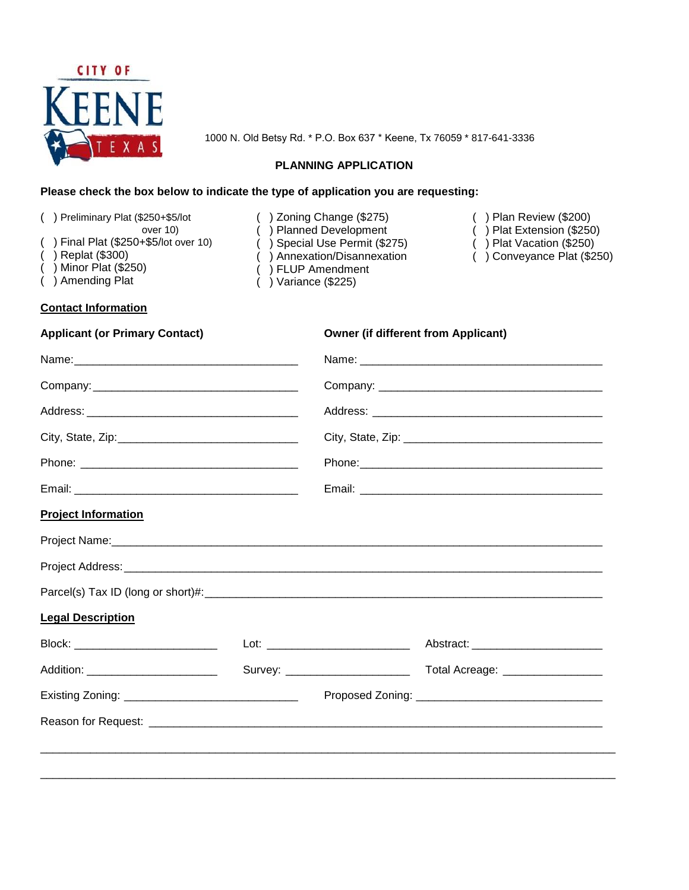

1000 N. Old Betsy Rd. \* P.O. Box 637 \* Keene, Tx 76059 \* 817-641-3336

#### **PLANNING APPLICATION**

## **Please check the box below to indicate the type of application you are requesting:**

| () Preliminary Plat (\$250+\$5/lot<br>over 10)<br>() Final Plat (\$250+\$5/lot over 10)<br>$( )$ Replat (\$300)<br>$($ ) Minor Plat $(\$250)$<br>() Amending Plat | () Zoning Change (\$275)<br>) Planned Development<br>() Special Use Permit (\$275)<br>() Annexation/Disannexation<br>) FLUP Amendment<br>) Variance (\$225) |                                            | ) Plan Review (\$200)<br>) Plat Extension (\$250)<br>Plat Vacation (\$250)<br>) Conveyance Plat (\$250) |  |
|-------------------------------------------------------------------------------------------------------------------------------------------------------------------|-------------------------------------------------------------------------------------------------------------------------------------------------------------|--------------------------------------------|---------------------------------------------------------------------------------------------------------|--|
| <b>Contact Information</b>                                                                                                                                        |                                                                                                                                                             |                                            |                                                                                                         |  |
| <b>Applicant (or Primary Contact)</b>                                                                                                                             |                                                                                                                                                             | <b>Owner (if different from Applicant)</b> |                                                                                                         |  |
|                                                                                                                                                                   |                                                                                                                                                             |                                            |                                                                                                         |  |
|                                                                                                                                                                   |                                                                                                                                                             |                                            |                                                                                                         |  |
|                                                                                                                                                                   |                                                                                                                                                             |                                            |                                                                                                         |  |
|                                                                                                                                                                   |                                                                                                                                                             |                                            |                                                                                                         |  |
|                                                                                                                                                                   |                                                                                                                                                             |                                            |                                                                                                         |  |
|                                                                                                                                                                   |                                                                                                                                                             |                                            |                                                                                                         |  |
| <b>Project Information</b>                                                                                                                                        |                                                                                                                                                             |                                            |                                                                                                         |  |
| Project Name: Manual Account of the Contract of the Contract of the Contract of the Contract of the Contract of                                                   |                                                                                                                                                             |                                            |                                                                                                         |  |
|                                                                                                                                                                   |                                                                                                                                                             |                                            |                                                                                                         |  |
|                                                                                                                                                                   |                                                                                                                                                             |                                            |                                                                                                         |  |
| <b>Legal Description</b>                                                                                                                                          |                                                                                                                                                             |                                            |                                                                                                         |  |
| Block: ____________________________                                                                                                                               |                                                                                                                                                             | Lot:                                       | Abstract: National Abstract:                                                                            |  |
| Addition: _________________________                                                                                                                               |                                                                                                                                                             |                                            |                                                                                                         |  |
|                                                                                                                                                                   |                                                                                                                                                             |                                            |                                                                                                         |  |
|                                                                                                                                                                   |                                                                                                                                                             |                                            |                                                                                                         |  |
|                                                                                                                                                                   |                                                                                                                                                             |                                            |                                                                                                         |  |
|                                                                                                                                                                   |                                                                                                                                                             |                                            |                                                                                                         |  |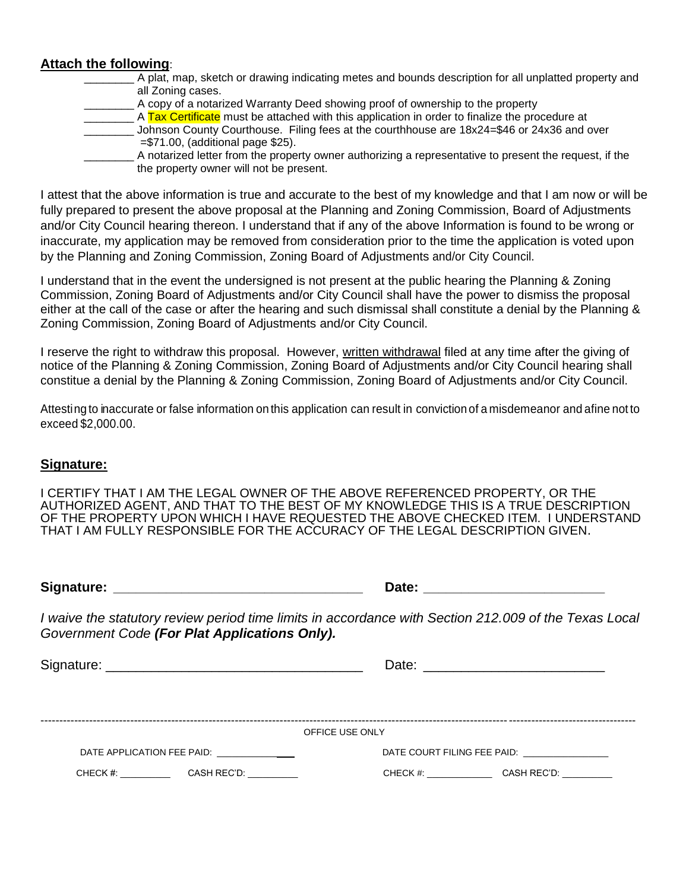## **Attach the following**:

- \_\_\_\_\_\_\_\_ A plat, map, sketch or drawing indicating metes and bounds description for all unplatted property and all Zoning cases.
	- **A** copy of a notarized Warranty Deed showing proof of ownership to the property

\_\_\_\_\_\_ A Tax Certificate must be attached with this application in order to finalize the procedure at

- \_\_\_\_\_\_\_\_ Johnson County Courthouse. Filing fees at the courthhouse are 18x24=\$46 or 24x36 and over  $= $71.00$ . (additional page \$25).
- \_\_\_\_\_\_\_\_ A notarized letter from the property owner authorizing a representative to present the request, if the the property owner will not be present.

I attest that the above information is true and accurate to the best of my knowledge and that I am now or will be fully prepared to present the above proposal at the Planning and Zoning Commission, Board of Adjustments and/or City Council hearing thereon. I understand that if any of the above Information is found to be wrong or inaccurate, my application may be removed from consideration prior to the time the application is voted upon by the Planning and Zoning Commission, Zoning Board of Adjustments and/or City Council.

I understand that in the event the undersigned is not present at the public hearing the Planning & Zoning Commission, Zoning Board of Adjustments and/or City Council shall have the power to dismiss the proposal either at the call of the case or after the hearing and such dismissal shall constitute a denial by the Planning & Zoning Commission, Zoning Board of Adjustments and/or City Council.

I reserve the right to withdraw this proposal. However, written withdrawal filed at any time after the giving of notice of the Planning & Zoning Commission, Zoning Board of Adjustments and/or City Council hearing shall constitue a denial by the Planning & Zoning Commission, Zoning Board of Adjustments and/or City Council.

Attesting to inaccurate or false information on this application can result in conviction of a misdemeanor and afine not to exceed \$2,000.00.

#### **Signature:**

I CERTIFY THAT I AM THE LEGAL OWNER OF THE ABOVE REFERENCED PROPERTY, OR THE AUTHORIZED AGENT, AND THAT TO THE BEST OF MY KNOWLEDGE THIS IS A TRUE DESCRIPTION OF THE PROPERTY UPON WHICH I HAVE REQUESTED THE ABOVE CHECKED ITEM. I UNDERSTAND THAT I AM FULLY RESPONSIBLE FOR THE ACCURACY OF THE LEGAL DESCRIPTION GIVEN.

**Signature: Date:** *Date:* **<b>Date:** *Date:* 

*I waive the statutory review period time limits in accordance with Section 212.009 of the Texas Local Government Code (For Plat Applications Only).*

Signature: \_\_\_\_\_\_\_\_\_\_\_\_\_\_\_\_\_\_\_\_\_\_\_\_\_\_\_\_\_\_\_\_\_\_ Date: \_\_\_\_\_\_\_\_\_\_\_\_\_\_\_\_\_\_\_\_\_\_\_\_

|                            |             | OFFICE USE ONLY             |             |
|----------------------------|-------------|-----------------------------|-------------|
| DATE APPLICATION FEE PAID: |             | DATE COURT FILING FEE PAID: |             |
| CHECK #:                   | CASH REC'D: | CHECK #:                    | CASH REC'D: |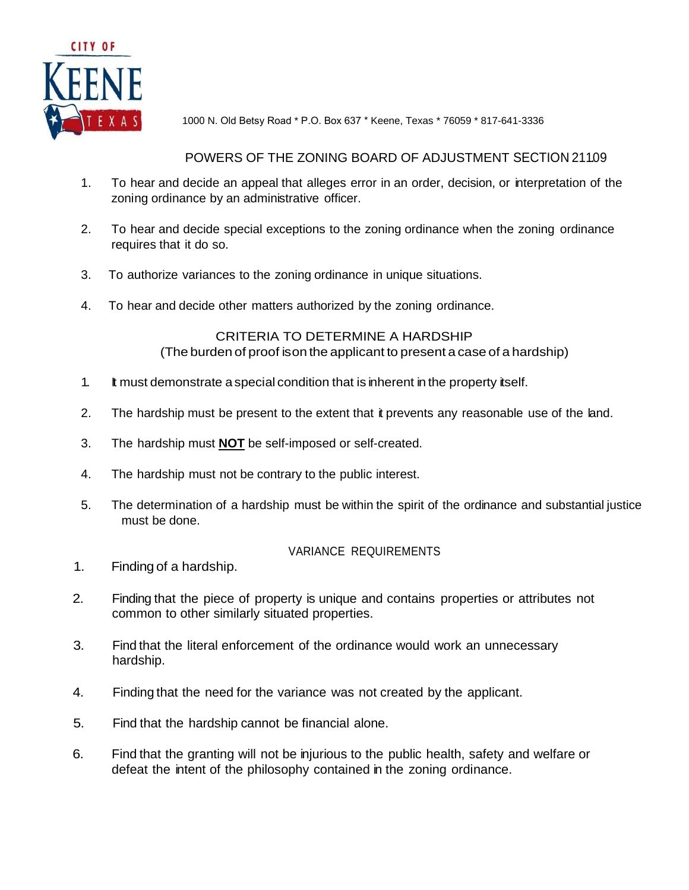

1000 N. Old Betsy Road \* P.O. Box 637 \* Keene, Texas \* 76059 \* 817-641-3336

### POWERS OF THE ZONING BOARD OF ADJUSTMENT SECTION 211.09

- 1. To hear and decide an appeal that alleges error in an order, decision, or interpretation of the zoning ordinance by an administrative officer.
- 2. To hear and decide special exceptions to the zoning ordinance when the zoning ordinance requires that it do so.
- 3. To authorize variances to the zoning ordinance in unique situations.
- 4. To hear and decide other matters authorized by the zoning ordinance.

### CRITERIA TO DETERMINE A HARDSHIP (The burden of proof ison the applicant to present a case of a hardship)

- 1. It must demonstrate aspecial condition that is inherent in the property itself.
- 2. The hardship must be present to the extent that it prevents any reasonable use of the land.
- 3. The hardship must **NOT** be self-imposed or self-created.
- 4. The hardship must not be contrary to the public interest.
- 5. The determination of a hardship must be within the spirit of the ordinance and substantial justice must be done.

#### VARIANCE REQUIREMENTS

- 1. Finding of a hardship.
- 2. Finding that the piece of property is unique and contains properties or attributes not common to other similarly situated properties.
- 3. Find that the literal enforcement of the ordinance would work an unnecessary hardship.
- 4. Finding that the need for the variance was not created by the applicant.
- 5. Find that the hardship cannot be financial alone.
- 6. Find that the granting will not be injurious to the public health, safety and welfare or defeat the intent of the philosophy contained in the zoning ordinance.